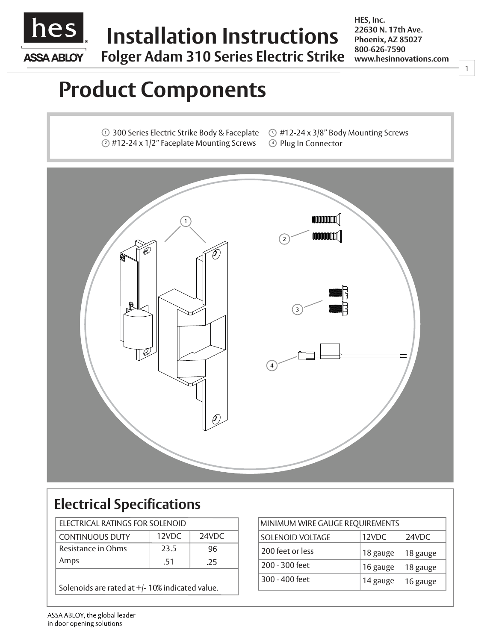

# **Installation Instructions**

**Folger Adam 310 Series Electric Strike**

**HES, Inc. 22630 N. 17th Ave. Phoenix, AZ 85027 800-626-7590 www.hesinnovations.com**

1

# **Product Components**

 $\cup$  300 Series Electric Strike Body & Faceplate  $\textcircled{\scriptsize{2}}$  #12-24 x 1/2" Faceplate Mounting Screws  $\textcircled{\scriptsize{4}}$ 

 $\circled{3}$  #12-24 x 3/8" Body Mounting Screws 4 Plug In Connector



## **Electrical Specifications**

| ELECTRICAL RATINGS FOR SOLENOID |       |       |    | <b>MINIMUM WIRE GAUGE REQUIREMENTS</b> |             |
|---------------------------------|-------|-------|----|----------------------------------------|-------------|
| <b>CONTINUOUS DUTY</b>          | 12VDC | 24VDC |    | <b>SOLENOID VOLTAGE</b>                | 12VDC       |
| Resistance in Ohms              | 23.5  |       | 96 | 200 feet or less                       | 18 gauge    |
| Amps                            | .51   | .25   |    | 200 - 300 feet                         | 16 gauge    |
|                                 |       |       |    | 300 - 400 feet                         | $14 \sigma$ |

Solenoids are rated at +/- 10% indicated value.

|       |                         | MINIMUM WIRE GAUGE REQUIREMENTS |          |  |
|-------|-------------------------|---------------------------------|----------|--|
| 24VDC | <b>SOLENOID VOLTAGE</b> | 12VDC                           | 24VDC    |  |
| 96    | 200 feet or less        | 18 gauge                        | 18 gauge |  |
| .25   | 200 - 300 feet          | 16 gauge                        | 18 gauge |  |
| alue. | 300 - 400 feet          | 14 gauge                        | 16 gauge |  |
|       |                         |                                 |          |  |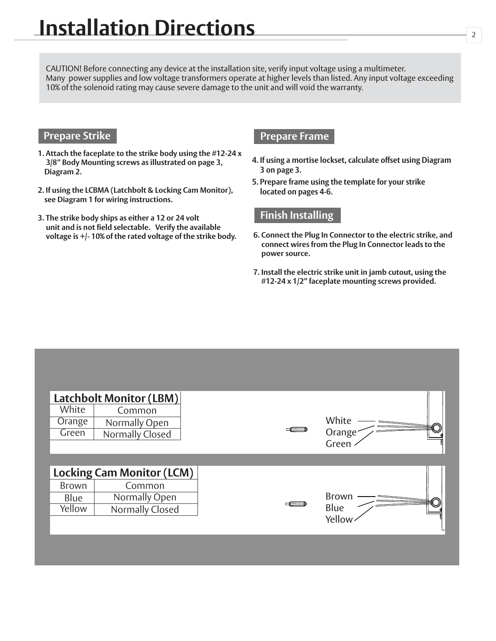CAUTION! Before connecting any device at the installation site, verify input voltage using a multimeter. Many power supplies and low voltage transformers operate at higher levels than listed. Any input voltage exceeding 10% of the solenoid rating may cause severe damage to the unit and will void the warranty.

### **Prepare Strike**

- **1. Attach the faceplate to the strike body using the #12-24 x 3/8" Body Mounting screws as illustrated on page 3, Diagram 2.**
- **2. If using the LCBMA (Latchbolt & Locking Cam Monitor), see Diagram 1 for wiring instructions.**
- **3. The strike body ships as either a 12 or 24 volt unit and is not field selectable. Verify the available voltage is +/- 10% of the rated voltage of the strike body.**

#### **Prepare Frame**

- **4. If using a mortise lockset, calculate offset using Diagram 3 on page 3.**
- **5. Prepare frame using the template for your strike located on pages 4-6.**

#### **Finish Installing**

- **6. Connect the Plug In Connector to the electric strike, and connect wires from the Plug In Connector leads to the power source.**
- **7. Install the electric strike unit in jamb cutout, using the #12-24 x 1/2" faceplate mounting screws provided.**

|                 | <b>Latchbolt Monitor (LBM)</b>   |                              |
|-----------------|----------------------------------|------------------------------|
| White<br>Orange | Common<br>Normally Open          | White                        |
| Green           | Normally Closed                  | Orange <sup>-</sup><br>Green |
|                 | <b>Locking Cam Monitor (LCM)</b> |                              |
| <b>Brown</b>    | Common                           |                              |
| Blue            | Normally Open                    | Brown                        |
| Yellow          | Normally Closed                  | Blue                         |
|                 |                                  | Yellow                       |
|                 |                                  |                              |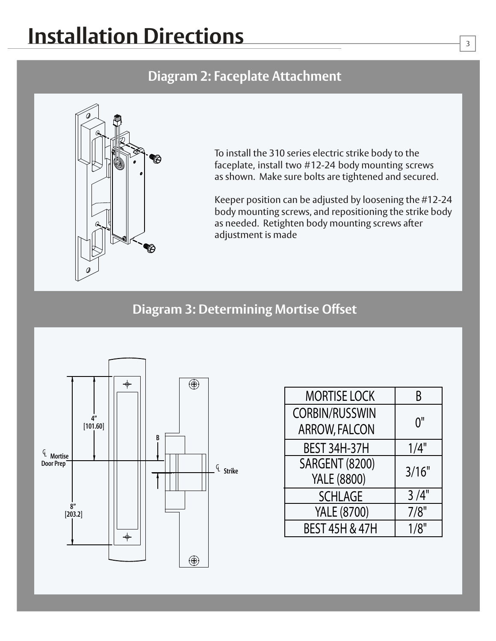# **Installation Directions**

### **Diagram 2: Faceplate Attachment**



To install the 310 series electric strike body to the faceplate, install two #12-24 body mounting screws as shown. Make sure bolts are tightened and secured.

Keeper position can be adjusted by loosening the #12-24 body mounting screws, and repositioning the strike body as needed. Retighten body mounting screws after adjustment is made

### **Diagram 3: Determining Mortise Offset**



| <b>MORTISE LOCK</b>       | B     |  |
|---------------------------|-------|--|
| <b>CORBIN/RUSSWIN</b>     |       |  |
| <b>ARROW, FALCON</b>      | 0"    |  |
| <b>BEST 34H-37H</b>       | 1/4"  |  |
| <b>SARGENT (8200)</b>     | 3/16" |  |
| <b>YALE (8800)</b>        |       |  |
| <b>SCHLAGE</b>            | 3/4"  |  |
| <b>YALE (8700)</b>        | 7/8"  |  |
| <b>BEST 45H &amp; 47H</b> | 1/8"  |  |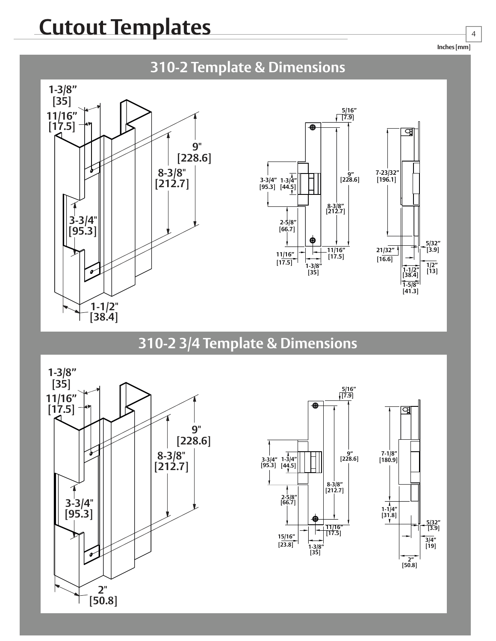# **Cutout Templates**



## **310-2 3/4 Template & Dimensions**







**Inches [mm]**

4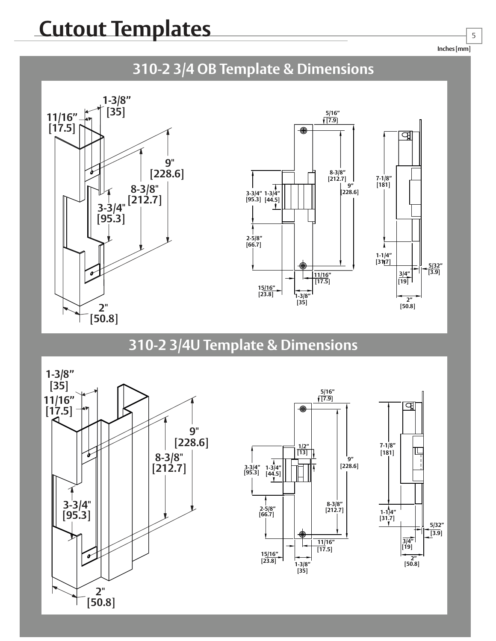**Inches [mm]**

5







### **310-2 3/4U Template & Dimensions**